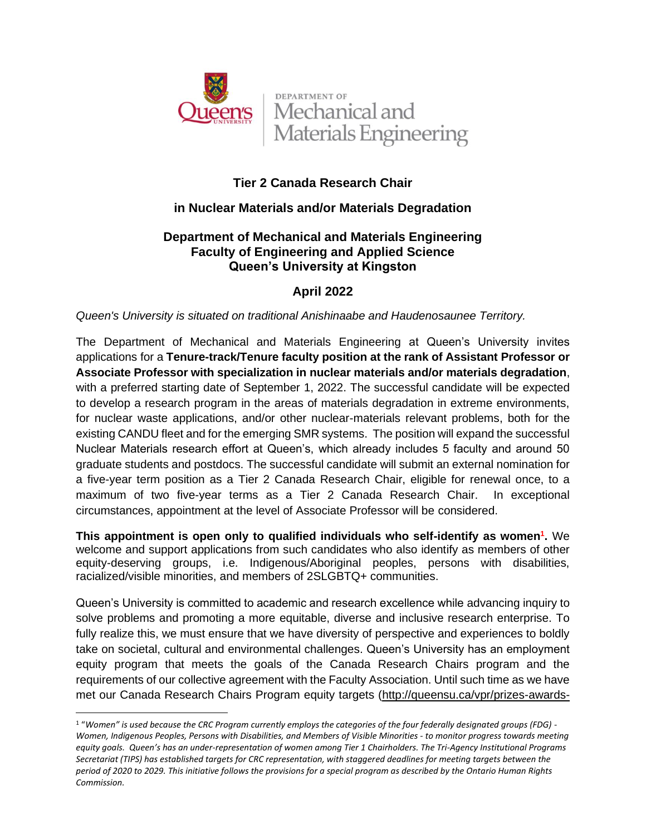

**DEPARTMENT OF** Mechanical and Materials Engineering

# **Tier 2 Canada Research Chair**

# **in Nuclear Materials and/or Materials Degradation**

## **Department of Mechanical and Materials Engineering Faculty of Engineering and Applied Science Queen's University at Kingston**

# **April 2022**

*Queen's University is situated on traditional Anishinaabe and Haudenosaunee Territory.*

The Department of Mechanical and Materials Engineering at Queen's University invites applications for a **Tenure-track/Tenure faculty position at the rank of Assistant Professor or Associate Professor with specialization in nuclear materials and/or materials degradation**, with a preferred starting date of September 1, 2022. The successful candidate will be expected to develop a research program in the areas of materials degradation in extreme environments, for nuclear waste applications, and/or other nuclear-materials relevant problems, both for the existing CANDU fleet and for the emerging SMR systems. The position will expand the successful Nuclear Materials research effort at Queen's, which already includes 5 faculty and around 50 graduate students and postdocs. The successful candidate will submit an external nomination for a five-year term position as a Tier 2 Canada Research Chair, eligible for renewal once, to a maximum of two five-year terms as a Tier 2 Canada Research Chair. In exceptional circumstances, appointment at the level of Associate Professor will be considered.

**This appointment is open only to qualified individuals who self-identify as women<sup>1</sup> .** We welcome and support applications from such candidates who also identify as members of other equity-deserving groups, i.e. Indigenous/Aboriginal peoples, persons with disabilities, racialized/visible minorities, and members of 2SLGBTQ+ communities.

Queen's University is committed to academic and research excellence while advancing inquiry to solve problems and promoting a more equitable, diverse and inclusive research enterprise. To fully realize this, we must ensure that we have diversity of perspective and experiences to boldly take on societal, cultural and environmental challenges. Queen's University has an employment equity program that meets the goals of the Canada Research Chairs program and the requirements of our collective agreement with the Faculty Association. Until such time as we have met our Canada Research Chairs Program equity targets [\(http://queensu.ca/vpr/prizes-awards-](http://queensu.ca/vpr/prizes-awards-chairs/canada-research-chairs-program-crcp)

<sup>1</sup> "*Women" is used because the CRC Program currently employs the categories of the four federally designated groups (FDG) - Women, Indigenous Peoples, Persons with Disabilities, and Members of Visible Minorities - to monitor progress towards meeting equity goals. Queen's has an under-representation of women among Tier 1 Chairholders. The Tri-Agency Institutional Programs Secretariat (TIPS) has established targets for CRC representation, with staggered deadlines for meeting targets between the period of 2020 to 2029. This initiative follows the provisions for a special program as described by the Ontario Human Rights Commission.*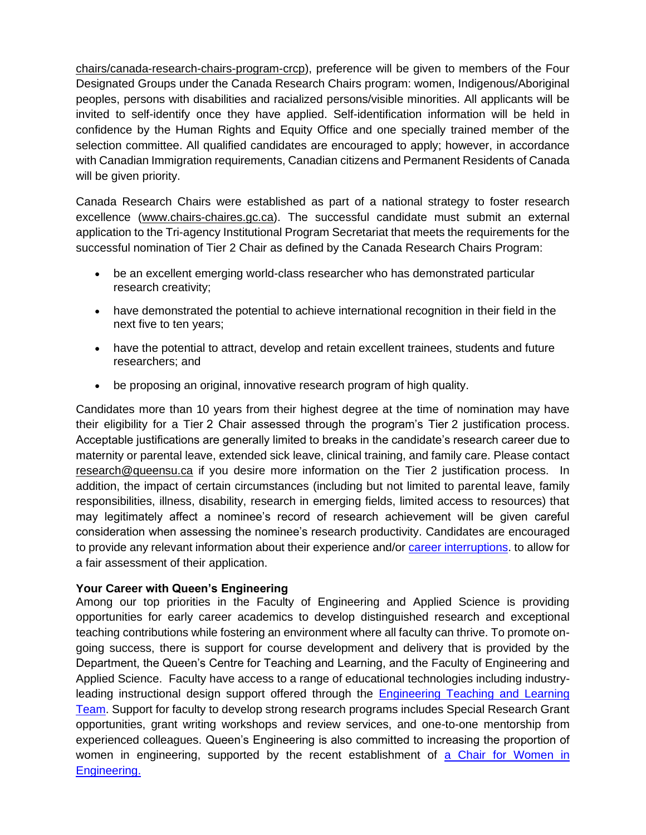[chairs/canada-research-chairs-program-crcp\)](http://queensu.ca/vpr/prizes-awards-chairs/canada-research-chairs-program-crcp), preference will be given to members of the Four Designated Groups under the Canada Research Chairs program: women, Indigenous/Aboriginal peoples, persons with disabilities and racialized persons/visible minorities. All applicants will be invited to self-identify once they have applied. Self-identification information will be held in confidence by the Human Rights and Equity Office and one specially trained member of the selection committee. All qualified candidates are encouraged to apply; however, in accordance with Canadian Immigration requirements, Canadian citizens and Permanent Residents of Canada will be given priority.

Canada Research Chairs were established as part of a national strategy to foster research excellence [\(www.chairs-chaires.gc.ca\)](http://www.chairs-chaires.gc.ca/). The successful candidate must submit an external application to the Tri-agency Institutional Program Secretariat that meets the requirements for the successful nomination of Tier 2 Chair as defined by the Canada Research Chairs Program:

- be an excellent emerging world-class researcher who has demonstrated particular research creativity;
- have demonstrated the potential to achieve international recognition in their field in the next five to ten years;
- have the potential to attract, develop and retain excellent trainees, students and future researchers; and
- be proposing an original, innovative research program of high quality.

Candidates more than 10 years from their highest degree at the time of nomination may have their eligibility for a Tier 2 Chair assessed through the program's Tier 2 justification process. Acceptable justifications are generally limited to breaks in the candidate's research career due to maternity or parental leave, extended sick leave, clinical training, and family care. Please contact [research@queensu.ca](file:///C:/Users/currana/AppData/Local/Microsoft/Windows/INetCache/Content.Outlook/TP06NXJC/research@queensu.ca) if you desire more information on the Tier 2 justification process. In addition, the impact of certain circumstances (including but not limited to parental leave, family responsibilities, illness, disability, research in emerging fields, limited access to resources) that may legitimately affect a nominee's record of research achievement will be given careful consideration when assessing the nominee's research productivity. Candidates are encouraged to provide any relevant information about their experience and/or [career interruptions.](https://www.chairs-chaires.gc.ca/peer_reviewers-evaluateurs/productivity-productivite-eng.aspx) to allow for a fair assessment of their application.

#### **Your Career with Queen's Engineering**

Among our top priorities in the Faculty of Engineering and Applied Science is providing opportunities for early career academics to develop distinguished research and exceptional teaching contributions while fostering an environment where all faculty can thrive. To promote ongoing success, there is support for course development and delivery that is provided by the Department, the Queen's Centre for Teaching and Learning, and the Faculty of Engineering and Applied Science. Faculty have access to a range of educational technologies including industryleading instructional design support offered through the [Engineering Teaching and Learning](https://engineering.queensu.ca/About/teaching-and-learning/team.html)  [Team.](https://engineering.queensu.ca/About/teaching-and-learning/team.html) Support for faculty to develop strong research programs includes Special Research Grant opportunities, grant writing workshops and review services, and one-to-one mentorship from experienced colleagues. Queen's Engineering is also committed to increasing the proportion of women in engineering, supported by the recent establishment of [a Chair for Women in](https://engineering.queensu.ca/women-in-engineering/)  [Engineering.](https://engineering.queensu.ca/women-in-engineering/)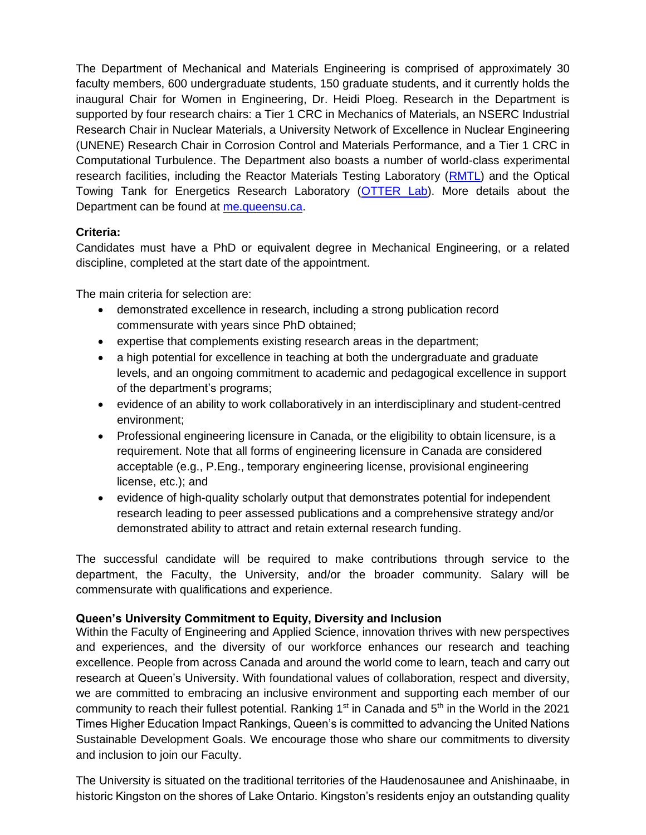The Department of Mechanical and Materials Engineering is comprised of approximately 30 faculty members, 600 undergraduate students, 150 graduate students, and it currently holds the inaugural Chair for Women in Engineering, Dr. Heidi Ploeg. Research in the Department is supported by four research chairs: a Tier 1 CRC in Mechanics of Materials, an NSERC Industrial Research Chair in Nuclear Materials, a University Network of Excellence in Nuclear Engineering (UNENE) Research Chair in Corrosion Control and Materials Performance, and a Tier 1 CRC in Computational Turbulence. The Department also boasts a number of world-class experimental research facilities, including the Reactor Materials Testing Laboratory [\(RMTL\)](https://rmtl.engineering.queensu.ca/) and the Optical Towing Tank for Energetics Research Laboratory [\(OTTER Lab\)](https://rivallab.com/facilities/). More details about the Department can be found at [me.queensu.ca.](https://me.queensu.ca/)

## **Criteria:**

Candidates must have a PhD or equivalent degree in Mechanical Engineering, or a related discipline, completed at the start date of the appointment.

The main criteria for selection are:

- demonstrated excellence in research, including a strong publication record commensurate with years since PhD obtained;
- expertise that complements existing research areas in the department;
- a high potential for excellence in teaching at both the undergraduate and graduate levels, and an ongoing commitment to academic and pedagogical excellence in support of the department's programs;
- evidence of an ability to work collaboratively in an interdisciplinary and student-centred environment;
- Professional engineering licensure in Canada, or the eligibility to obtain licensure, is a requirement. Note that all forms of engineering licensure in Canada are considered acceptable (e.g., P.Eng., temporary engineering license, provisional engineering license, etc.); and
- evidence of high-quality scholarly output that demonstrates potential for independent research leading to peer assessed publications and a comprehensive strategy and/or demonstrated ability to attract and retain external research funding.

The successful candidate will be required to make contributions through service to the department, the Faculty, the University, and/or the broader community. Salary will be commensurate with qualifications and experience.

## **Queen's University Commitment to Equity, Diversity and Inclusion**

Within the Faculty of Engineering and Applied Science, innovation thrives with new perspectives and experiences, and the diversity of our workforce enhances our research and teaching excellence. People from across Canada and around the world come to learn, teach and carry out research at Queen's University. With foundational values of collaboration, respect and diversity, we are committed to embracing an inclusive environment and supporting each member of our community to reach their fullest potential. Ranking  $1<sup>st</sup>$  in Canada and  $5<sup>th</sup>$  in the World in the 2021 Times Higher Education Impact Rankings, Queen's is committed to advancing the United Nations Sustainable Development Goals. We encourage those who share our commitments to diversity and inclusion to join our Faculty.

The University is situated on the traditional territories of the Haudenosaunee and Anishinaabe, in historic Kingston on the shores of Lake Ontario. Kingston's residents enjoy an outstanding quality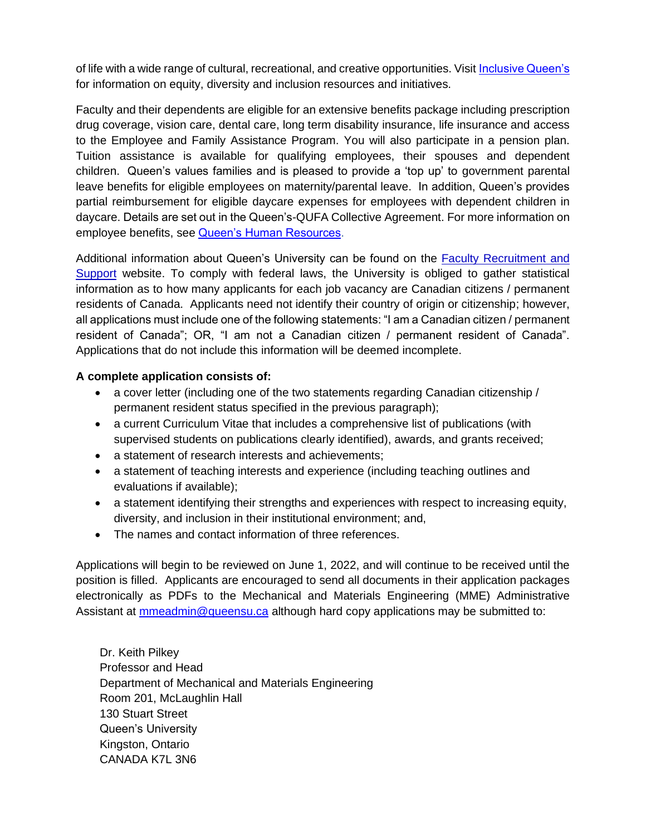of life with a wide range of cultural, recreational, and creative opportunities. Visit [Inclusive Queen's](https://www.queensu.ca/inclusive/content/home) for information on equity, diversity and inclusion resources and initiatives.

Faculty and their dependents are eligible for an extensive benefits package including prescription drug coverage, vision care, dental care, long term disability insurance, life insurance and access to the Employee and Family Assistance Program. You will also participate in a pension plan. Tuition assistance is available for qualifying employees, their spouses and dependent children. Queen's values families and is pleased to provide a 'top up' to government parental leave benefits for eligible employees on maternity/parental leave. In addition, Queen's provides partial reimbursement for eligible daycare expenses for employees with dependent children in daycare. Details are set out in the Queen's-QUFA Collective Agreement. For more information on employee benefits, see **Queen's Human Resources**.

Additional information about Queen's University can be found on the [Faculty Recruitment and](http://www.queensu.ca/facultyrecruitment)  [Support](http://www.queensu.ca/facultyrecruitment) website. To comply with federal laws, the University is obliged to gather statistical information as to how many applicants for each job vacancy are Canadian citizens / permanent residents of Canada. Applicants need not identify their country of origin or citizenship; however, all applications must include one of the following statements: "I am a Canadian citizen / permanent resident of Canada"; OR, "I am not a Canadian citizen / permanent resident of Canada". Applications that do not include this information will be deemed incomplete.

#### **A complete application consists of:**

- a cover letter (including one of the two statements regarding Canadian citizenship / permanent resident status specified in the previous paragraph);
- a current Curriculum Vitae that includes a comprehensive list of publications (with supervised students on publications clearly identified), awards, and grants received;
- a statement of research interests and achievements;
- a statement of teaching interests and experience (including teaching outlines and evaluations if available);
- a statement identifying their strengths and experiences with respect to increasing equity, diversity, and inclusion in their institutional environment; and,
- The names and contact information of three references.

Applications will begin to be reviewed on June 1, 2022, and will continue to be received until the position is filled. Applicants are encouraged to send all documents in their application packages electronically as PDFs to the Mechanical and Materials Engineering (MME) Administrative Assistant at [mmeadmin@queensu.ca](mailto:mmeadmin@queensu.ca) although hard copy applications may be submitted to:

Dr. Keith Pilkey Professor and Head Department of Mechanical and Materials Engineering Room 201, McLaughlin Hall 130 Stuart Street Queen's University Kingston, Ontario CANADA K7L 3N6